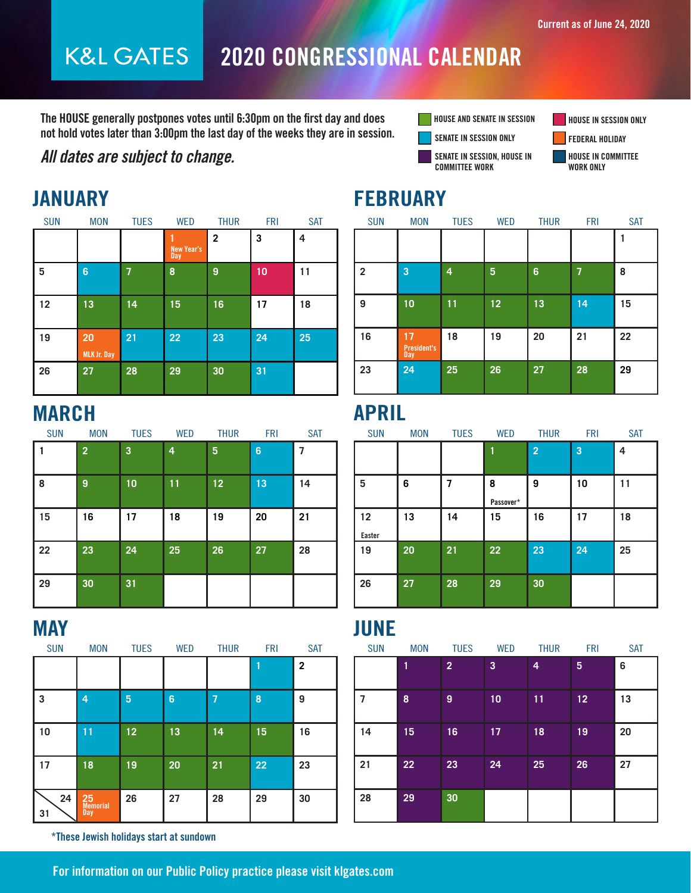### 2020 CONGRESSIONAL CALENDAR **K&L GATES**

The HOUSE generally postpones votes until 6:30pm on the first day and does not hold votes later than 3:00pm the last day of the weeks they are in session.

### All dates are subject to change.





HOUSE IN COMMITTEE

| - 11       | _______                  |                |                          |              |            |            |  |  |  |
|------------|--------------------------|----------------|--------------------------|--------------|------------|------------|--|--|--|
| <b>SUN</b> | <b>MON</b>               | <b>TUES</b>    | <b>WED</b>               | <b>THUR</b>  | <b>FRI</b> | <b>SAT</b> |  |  |  |
|            |                          |                | <b>New Year's</b><br>Day | $\mathbf{2}$ | 3          | 4          |  |  |  |
| 5          | $6\phantom{1}$           | $\overline{1}$ | 8                        | 9            | 10         | 11         |  |  |  |
| 12         | 13                       | 14             | 15                       | 16           | 17         | 18         |  |  |  |
| 19         | 20<br><b>MLK Jr. Day</b> | 21             | 22                       | 23           | 24         | 25         |  |  |  |
| 26         | 27                       | 28             | 29                       | 30           | 31         |            |  |  |  |

## MARCH

| <b>SUN</b> | <b>MON</b>     | <b>TUES</b> | <b>WED</b> | <b>THUR</b> | <b>FRI</b> | <b>SAT</b> |
|------------|----------------|-------------|------------|-------------|------------|------------|
|            | $\overline{2}$ | 3           | 4          | 5           | 6          | 7          |
| 8          | 9              | 10          | 11         | 12          | 13         | 14         |
| 15         | 16             | 17          | 18         | 19          | 20         | 21         |
| 22         | 23             | 24          | 25         | 26          | 27         | 28         |
| 29         | 30             | 31          |            |             |            |            |

| <b>SUN</b> | <b>MON</b>                   | <b>TUES</b> | <b>WED</b> | <b>THUR</b> | <b>FRI</b> | <b>SAT</b>              |
|------------|------------------------------|-------------|------------|-------------|------------|-------------------------|
|            |                              |             |            |             |            | $\overline{\mathbf{2}}$ |
| 3          | 4                            | 5           | 6          | 7           | 8          | 9                       |
| 10         | 11                           | 12          | 13         | 14          | 15         | 16                      |
| 17         | 18                           | 19          | 20         | 21          | 22         | 23                      |
| 24<br>31   | 25<br>Memorial<br><b>Day</b> | 26          | 27         | 28          | 29         | 30                      |

\*These Jewish holidays start at sundown

## JANUARY FEBRUARY

| <b>SUN</b>     | <b>MON</b>                      | <b>TUES</b> | <b>WED</b> | <b>THUR</b> | <b>FRI</b> | <b>SAT</b> |
|----------------|---------------------------------|-------------|------------|-------------|------------|------------|
|                |                                 |             |            |             |            |            |
| $\overline{2}$ | 3                               | 4           | 5          | 6           | 7          | 8          |
| 9              | 10                              | 11          | 12         | 13          | 14         | 15         |
| 16             | 17<br><b>President's</b><br>Day | 18          | 19         | 20          | 21         | 22         |
| 23             | 24                              | 25          | 26         | 27          | 28         | 29         |

## APRIL

| <b>SUN</b>          | <b>MON</b> | <b>TUES</b> | <b>WED</b>     | <b>THUR</b>    | <b>FRI</b> | <b>SAT</b> |
|---------------------|------------|-------------|----------------|----------------|------------|------------|
|                     |            |             |                | $\overline{2}$ | 3          | 4          |
| 5                   | 6          |             | 8<br>Passover* | 9              | 10         | 11         |
| 12<br><b>Easter</b> | 13         | 14          | 15             | 16             | 17         | 18         |
| 19                  | 20         | 21          | 22             | 23             | 24         | 25         |
| 26                  | 27         | 28          | 29             | 30             |            |            |

## MAY DIRECT DESCRIPTION OF THE RESERVE OF THE STREET OF THE STREET OF THE STREET OF THE STREET OF THE STREET OF

| <b>SUN</b> | <b>MON</b> | <b>TUES</b>    | <b>WED</b> | <b>THUR</b> | <b>FRI</b> | <b>SAT</b> |
|------------|------------|----------------|------------|-------------|------------|------------|
|            |            | $\overline{2}$ | 3          | 4           | 5          | 6          |
| 7          | 8          | 9              | 10         | 11          | 12         | 13         |
| 14         | 15         | 16             | 17         | 18          | 19         | 20         |
| 21         | 22         | 23             | 24         | 25          | 26         | 27         |
| 28         | 29         | 30             |            |             |            |            |